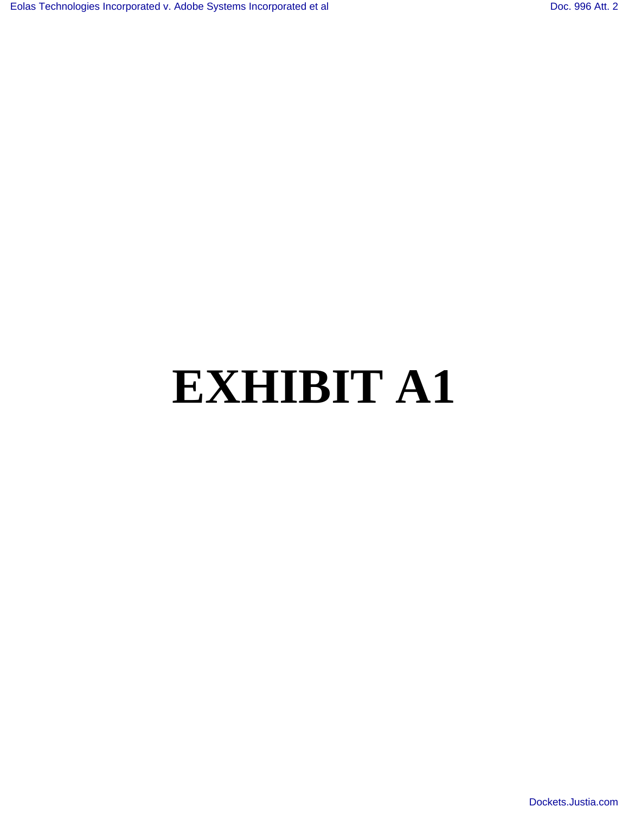# **EXHIBIT A1**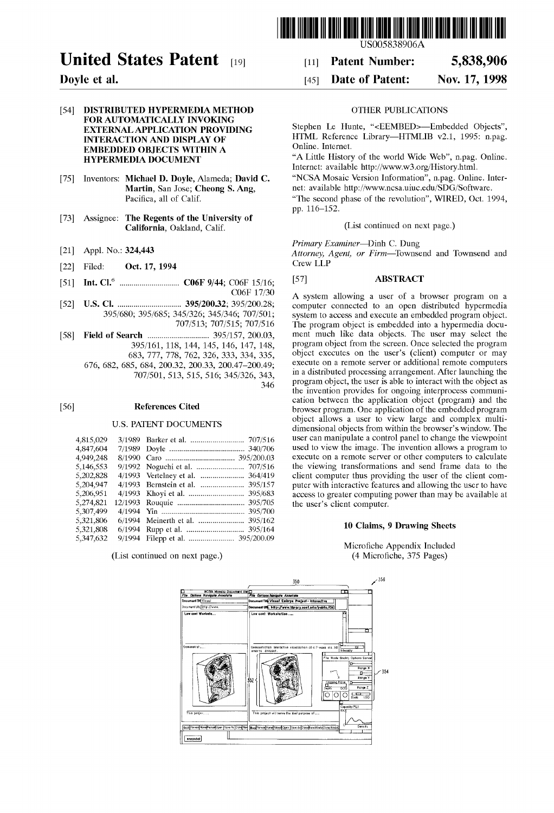

## **United States Patent** [19] **Fatent Number: 5,838,906**

## 1541 **DISTRIBUTED HYPERMEDIA METHOD** OTHER PUBLICATIONS **FOR AUTOMATICALLY INVOKING EXTERNAL APPLICATION PROVIDING INTERACTION AND DISPLAY OF EMBEDDED OBJECTS WITHIN A HYPERMEDIA DOCUMENT**

- [75] Inventors: **Michael D. Doyle,** Alameda; **David C. Martin,** San Jose; **Cheong S. Ang,**  Pacifica, all of Calif.
- [73] Assignee: **The Regents of the University of California,** Oakland, Calif.
- [21] Appl. No.: 324,443
- [22] Filed: **Oct.** 17, 1994
- [51] **Int. C1.6** .............................. **C06F** 9/44; C06F 15116; C06F 17/30
- [52] **U.S. C1.** ................................ 3951200.32; 3951200.28; 395/680; 395/685; 345/326; 345/346; 707/501; 707/513; 707/516
	-

346

- [58] **Field of Search** ............................... 3951157, 200.03, 3951161, 118, 144, 145, 146, 147, 148,
	- 683, 777, 778, 762, 326, 333, 334, 335,
	- 676, 682, 685, 684, 200.32, 200.33, 200.47-200.49;

7071501, 513, 515, 516; 3451326, 343,

## ~561 **References Cited**

## U.S. PATENT DOCUMENTS

| 4,815,029 |                                  |
|-----------|----------------------------------|
| 4,847,604 |                                  |
| 4,949,248 |                                  |
| 5,146,553 |                                  |
| 5,202,828 |                                  |
| 5,204,947 |                                  |
| 5,206,951 |                                  |
| 5,274,821 |                                  |
| 5,307,499 |                                  |
| 5,321,806 | 395/162                          |
| 5,321,808 |                                  |
| 5,347,632 | 9/1994 Filepp et al.  395/200.09 |
|           |                                  |

(List continued on next page.)

US005838906A

## **Doyle et al.** [45] **Date of Patent: Nov. 17,1998**

Stephen Le Hunte, "<EEMBED>-Embedded Objects", HTML Reference Library-HTMLIB v2.1, 1995: n.pag. Online. Internet.

"A Little History of the world Wide Web", n.pag. Online. Internet: available http://www.w3.org/History.html. "NCSA Mosaic Version Information", n.pag. Online. Internet: available http://ww.ncsa.uiuc.edu/SDG/Software. "The second phase of the revolution", WIRED, Oct. 1994, pp. 116-152.

(List continued on next page.)

Primary Examiner-Dinh C. Dung

Attorney, Agent, or Firm-Townsend and Townsend and Crew LLP

## [571 **ABSTRACT**

A system allowing a user of a browser program on a computer connected to an open distributed hypermedia system to access and execute an embedded program object. The program object is embedded into a hypermedia document much like data objects. The user may select the program object from the screen. Once selected the program object executes on the user's (client) computer or may execute on a remote server or additional remote computers in a distributed processing arrangement. After launching the program object, the user is able to interact with the object as the invention provides for ongoing interprocess communication between the application object (program) and the browser program. One application of the embedded program object allows a user to view large and complex multidimensional objects from within the browser's window. The user can manipulate a control panel to change the viewpoint used to view the image. The invention allows a program to execute on a remote server or other computers to calculate the viewing transformations and send frame data to the client computer thus providing the user of the client computer with interactive features and allowing the user to have access to greater computing power than may be available at the user's client computer.

## 10 **Claims,** 9 **Drawing Sheets**

Microfiche Appendix Included (4 Microfiche, 375 Pages)

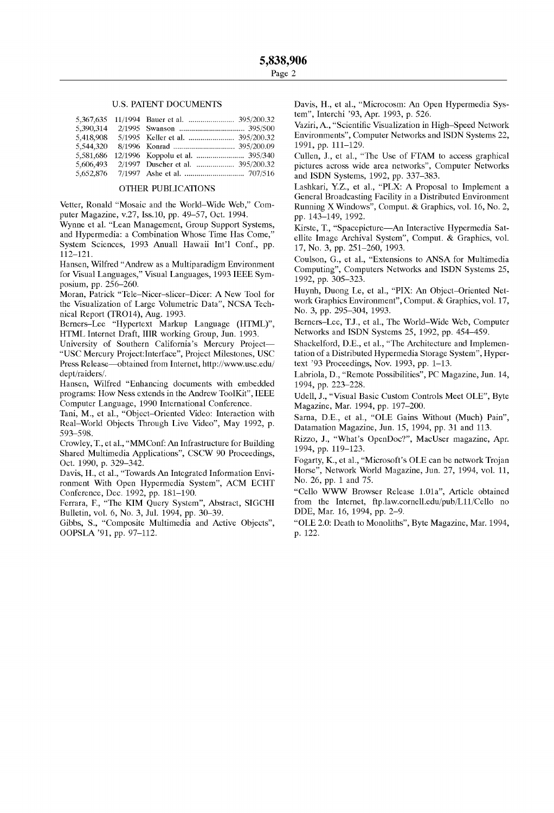### U.S. PATENT DOCUMENTS

| 5.390.314 |  |
|-----------|--|
| 5.418.908 |  |
| 5,544,320 |  |
| 5.581.686 |  |
|           |  |
|           |  |

### OTHER PUBLICATIONS

Vetter, Ronald "Mosaic and the World-Wide Web," Computer Magazine, v.27, Iss.10, pp. 49-57, Oct. 1994.

Wynne et al. "Lean Management, Group Support Systems, and Hypermedia: a Combination Whose Time Has Come," System Sciences, 1993 Anuall Hawaii Int'l Conf., pp. 112-121.

Hansen, Wilfred "Andrew as a Multiparadigm Environment for Visual Languages," Visual Languages, 1993 IEEE Symposium, pp. 256-260.

Moran, Patrick "Tele-Nicer-slicer-Dicer: A New Tool for the Visualization of Large Volumetric Data", NCSA Technical Report (TR014), Aug. 1993.

Berners-Lee "Hypertext Markup Language (HTML)", HTML Internet Draft, IIIR working Group, Jun. 1993.

University of Southern California's Mercury Project-"USC Mercury Project:Interface", Project Milestones, USC Press Release—obtained from Internet, http://www.usc.edu/ dept/raiders/.

Hansen, Wilfred "Enhancing documents with embedded programs: How Ness extends in the Andrew ToolKit", IEEE Computer Language, 1990 International Conference.

Tani, M., et al., "Object-Oriented Video: Interaction with Real-World Objects Through Live Video", May 1992, p. 593-598.

Crowley, T., et al., "MMConf: An Infrastructure for Building Shared Multimedia Applications", CSCW 90 Proceedings, Oct. 1990, p. 329-342.

Davis, H., et al., "Towards An Integrated Information Environment With Open Hypermedia System", ACM ECHT Conference, Dec. 1992, pp. 181-190.

Ferrara, F., "The KIM Query System", Abstract, SIGCHI Bulletin, vol. 6, No. 3, Jul. 1994, pp. 30-39.

Gibbs, S., "Composite Multimedia and Active Objects", OOPSLA '91, pp. 97-112.

Davis, H., et al., "Microcosm: An Open Hypermedia System", Interchi '93, Apr. 1993, p. 526.

Vaziri, A,, "Scientific Visualization in High-Speed Network Environments", Computer Networks and ISDN Systems 22, 1991, pp. 111-129.

Cullen, J., et al., "The Use of FTAM to access graphical pictures across wide area networks", Computer Networks and ISDN Systems, 1992, pp. 337-383.

Lashkari, Y.Z., et al., "PLX: A Proposal to Implement a General Broadcasting Facility in a Distributed Environment Running X Windows", Comput. & Graphics, vol. 16, No. 2, pp. 143-149, 1992.

Kirste, T., "Spacepicture-An Interactive Hypermedia Satellite Image Archival System", Comput. & Graphics, vol. 17, No. 3, pp. 251-260, 1993.

Coulson, G., et al., "Extensions to ANSA for Multimedia Computing", Computers Networks and ISDN Systems 25, 1992, pp. 305-323.

Huynh, Duong Le, et al., "PIX: An Object-Oriented Network Graphics Environment", Comput. & Graphics, vol. 17, No. 3, pp. 295-304, 1993.

Berners-Lee, T.J., et al., The World-Wide Web, Computer Networks and ISDN Systems 25, 1992, pp. 454-459.

Shackelford, D.E., et al., "The Architecture and Implementation of a Distributed Hypermedia Storage System", Hypertext '93 Proceedings, Nov. 1993, pp. 1-13.

Labriola, D., "Remote Possibilities", PC Magazine, Jun. 14, 1994, pp. 223-228.

Udell, J., "Visual Basic Custom Controls Meet OLE", Byte Magazine, Mar. 1994, pp. 197-200.

Sarna, D.E., et al., "OLE Gains Without (Much) Pain", Datamation Magazine, Jun. 15, 1994, pp. 31 and 113.

Rizzo, J., "What's OpenDoc?", MacUser magazine, Apr. 1994, pp. 119-123.

Fogarty, K., et al., "Microsoft's OLE can be network Trojan Horse", Network World Magazine, Jun. 27, 1994, vol. 11, No. 26, pp. 1 and 75.

"Cello WWW Browser Release 1.01a", Article obtained from the Internet, **ftp.law.cornell.edu/pub/Lll/Cello** no DDE, Mar. 16, 1994, pp. 2-9.

"OLE 2.0: Death to Monoliths", Byte Magazine, Mar. 1994, p. 122.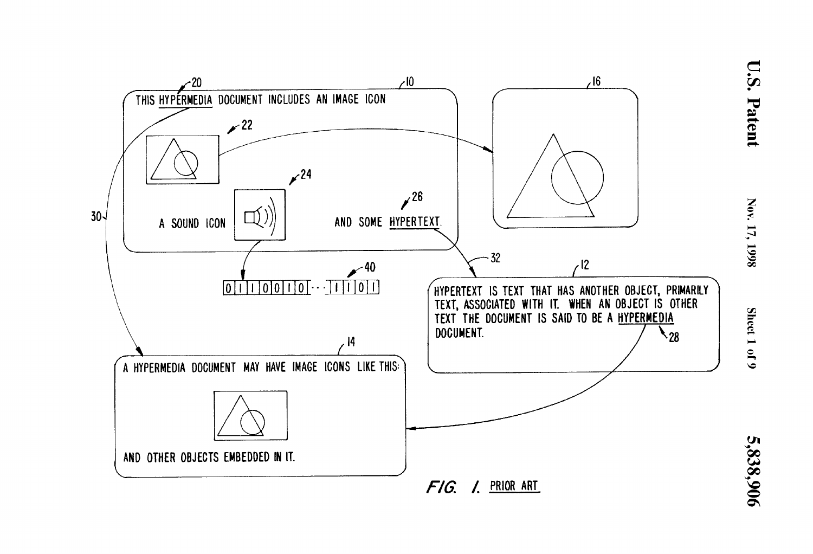

Sheet 1 of 9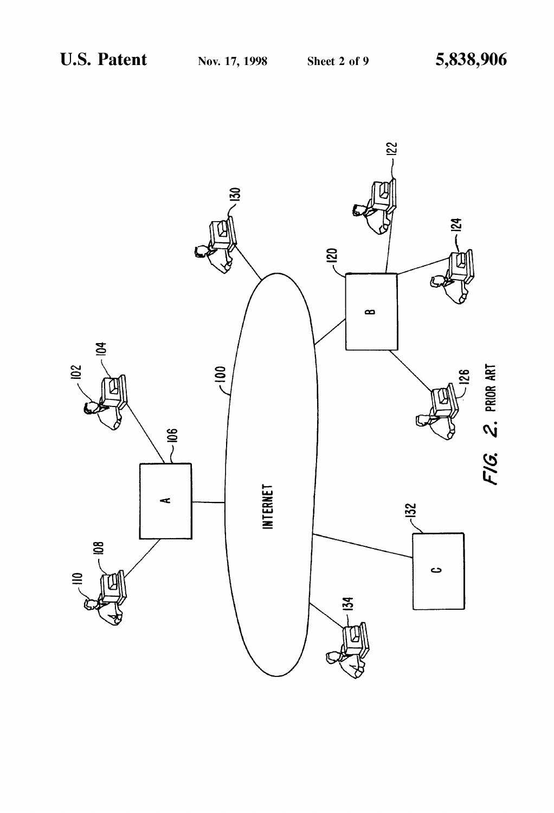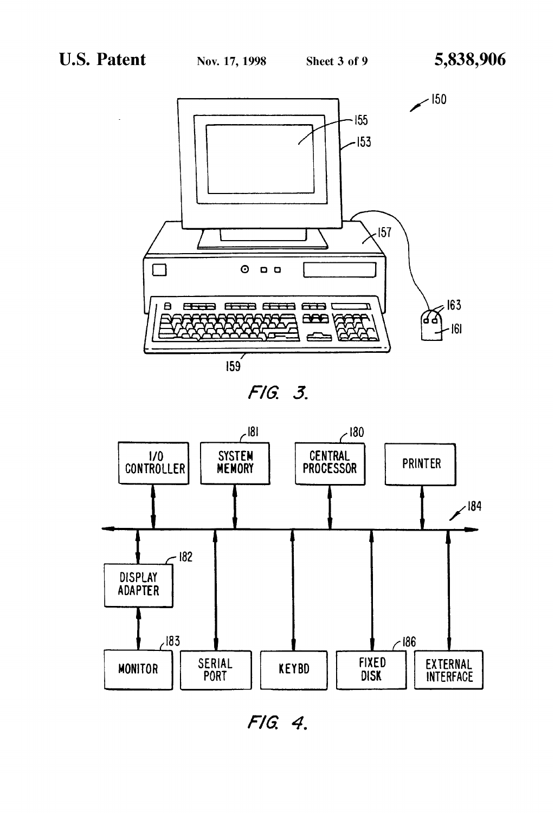







FIG. 4.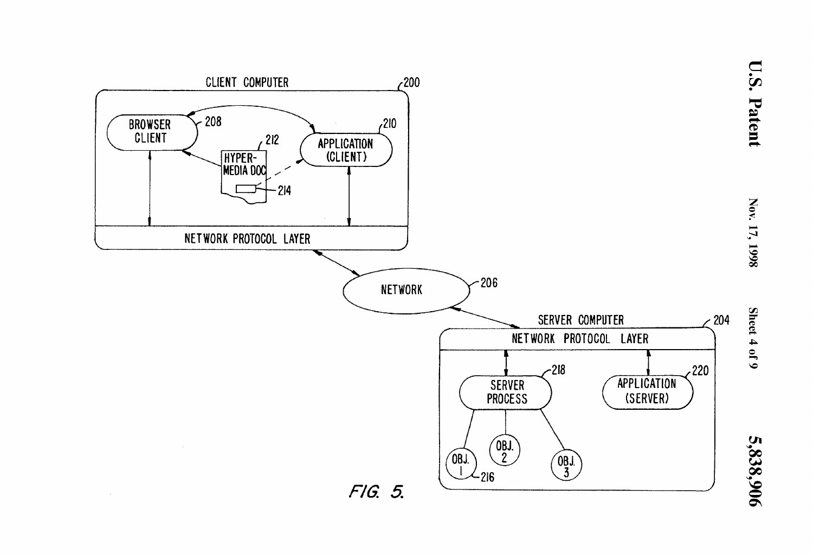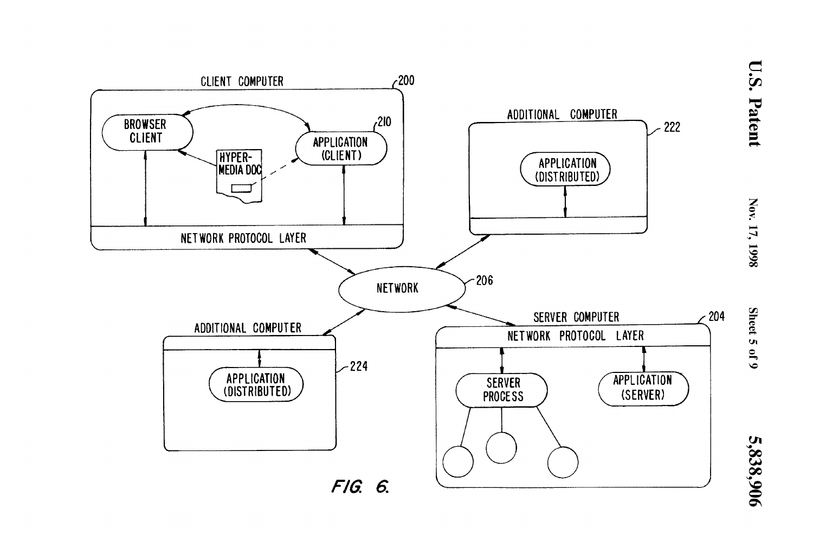

**U.S. Patent** 

Nov. 17, 1998

Sheet 5 of 9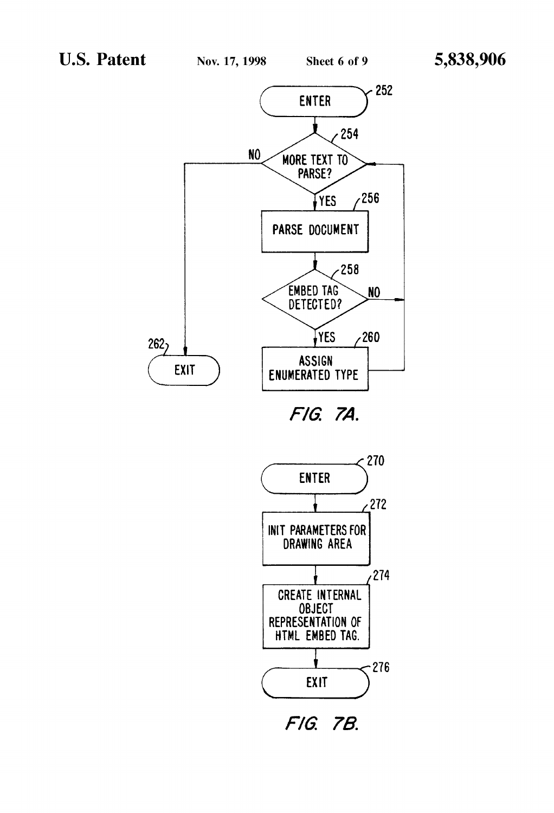



FIG. 7B.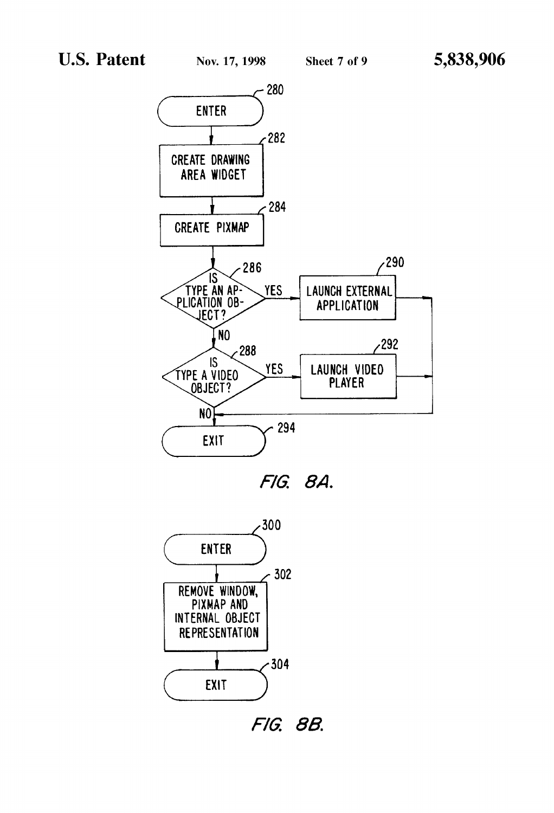





FIG. 8B.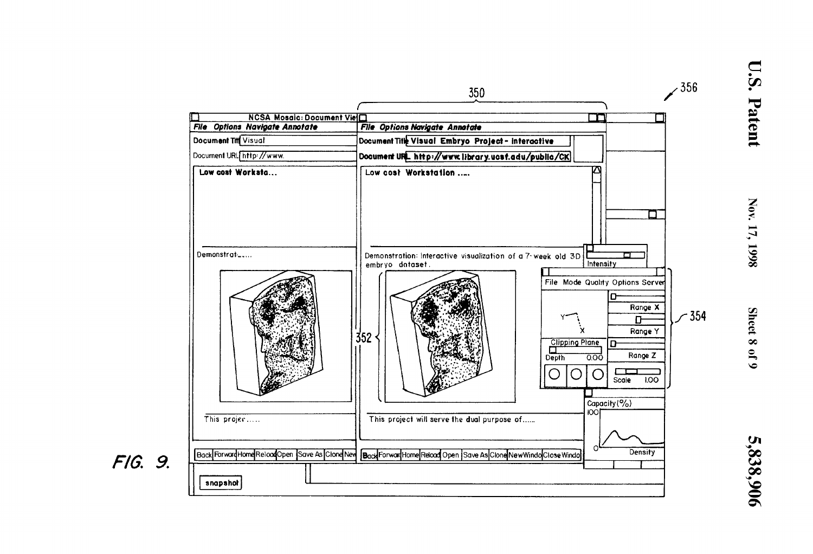

**U.S. Patent** 

Nov. 17, 1998

Sheet 8 of 9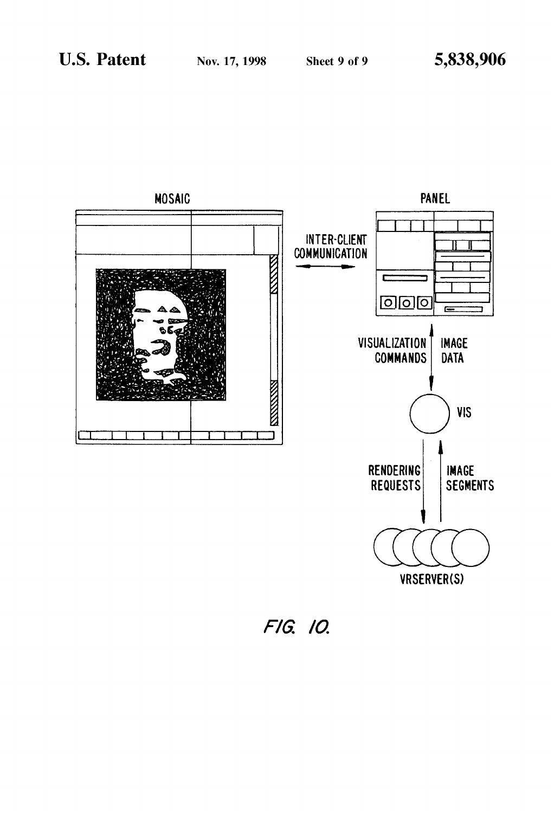

VRSERVER(S)

FIG. 10.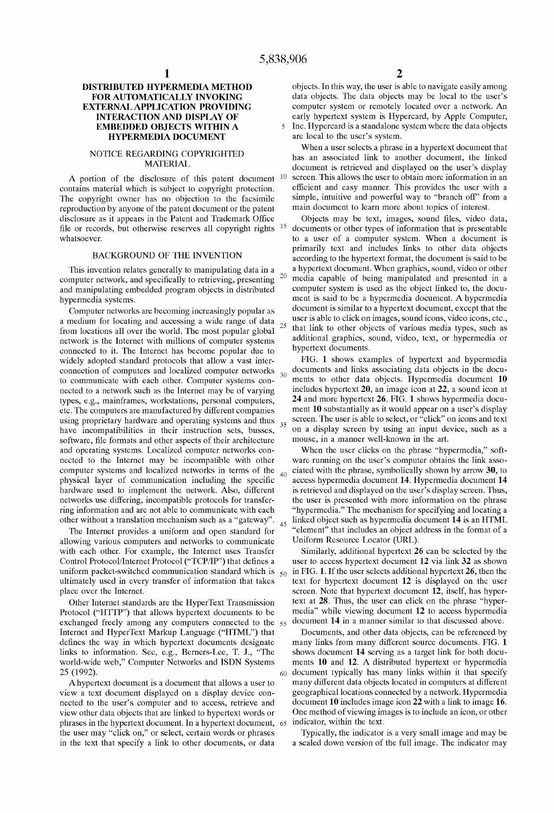## **EMBEDDED OBJECTS WITHIN A** <sup>5</sup> Inc. Hypercard is a standalone system where the data objects<br>**HYPERMEDIA DOCUMENT** are local to the user's system. **HYPERMEDIA DOCUMENT**

The copyright owner has no objection to the facsimile simple, intuitive and powerful way to "branch off" from reproduction by anyone of the patent document or the patent main document to learn more about topics of interest reproduction by anyone of the patent document or the patent main document to learn more about topics of interest.<br>
disclosure as it appears in the Patent and Trademark Office Objects may be text, images, sound files, video disclosure as it appears in the Patent and Trademark Office Objects may be text, images, sound files, video data, file or records, but otherwise reserves all copyright rights <sup>15</sup> documents or other types of information th file or records, but otherwise reserves all copyright rights  $15$  whatsoever.

and manipulating embedded program objects in distributed

network is the Internet with millions of computer systems additional graphics, soundered to it. The Internet has become popular due to hypertext documents. connected to it. The Internet has become popular due to hypertext documents.<br>widely adopted standard protocols that allow a vast inter-<br>FIG. 1 shows examples of hypertext and hypermedia to communicate with each other. Computer systems con-<br>nected to a network such as the Internet may be of varying have incompatibilities in their instruction sets, busses,  $\frac{3}{5}$  on a display screen by using an input development software, file formats and other aspects of their architecture mouse, in a manner well-known in the art software, file formats and other aspects of their architecture mouse, in a manner well-known in the art.<br>and operating systems. Localized computer networks con-<br>When the user clicks on the phrase "hypermedia," softand operating systems. Localized computer networks con-

The Internet provides a uniform and open standard for "element" that includes an object address in the format of an object address in the format of an extendion of an integral or an object address in the format of an integ allowing various computers and networks to communicate

Protocol ("HTTP") that allows hypertext documents to be media" while viewing document 12 to access hypermedia<br>exchanged freely among any computers connected to the  $55$  document 14 in a manner similar to that discussed abo exchanged freely among any computers connected to the  $55$ links to information. See, e.g., Berners-Lee, T. J., "The

view other data objects that are linked to hypertext words or phrases in the hypertext document. In a hypertext document, 6s indicator, within the text. the user may "click on," or select, certain words or phrases Typically, the indicator is a very small image and may be in the text that specify a link to other documents, or data a scaled down version of the full image. The indicator may

**DISTRIBUTED HYPERMEDIA METHOD** objects. In this way, the user is able to navigate easily among<br>**FOR AUTOMATICALLY INVOKING** data objects. The data objects may be local to the user's **FOR AUTOMATICALLY INVOKING** data objects. The data objects may be local to the user's<br>**EXTERNAL APPLICATION PROVIDING** computer system or remotely located over a network. An **FERNAL APPLICATION PROVIDING** computer system or remotely located over a network. An **INTERACTION AND DISPLAY OF** early hypertext system is Hypercard, by Apple Computer, **INTERACTION AND EXECUTE STATE INTERFACT STATE STATE PROPERTY IS A STATE IN THE LATE IS THE LATE IS THE LATE OF** <br> **INTER** STATE STATE IS A STATE IS A STATE IS A STATE IS A STATE IS A STATE IS A STATE IS A STATE IS A STATE

When a user selects a phrase in a hypertext document that NOTICE REGARDING COPYRIGHTED<br>
MATERIAL has an associated link to another document, the linked<br>
has an associated linked disclosured disclosured disclosured in the linked document is retrieved and displayed on the user's display<br><sup>10</sup> screen. This allows the user to obtain more information in an A portion of the disclosure of this patent document  $10$  screen. This allows the user to obtain more information in an entains material which is subject to converient protection efficient and easy manner. This provides th contains material which is subject to copyright protection. efficient and easy manner. This provides the user with a<br>The convright owner has no objection to the facsimile simple, intuitive and powerful way to "branch off"

to a user of a computer system. When a document is primarily text and includes links to other data objects BACKGROUND OF THE INVENTION primarily text and includes links to other data objects<br>according to the hypertext format, the document is said to be This invention relates generally to manipulating data in a a hypertext document. When graphics, sound, video or other imputer network, and specifically to retrieving, presenting  $20$  media capable of being manipulated and computer network, and specifically to retrieving, presenting  $\frac{20}{\pi}$  media capable of being manipulated and presented in a and manipulating embedded program objects in distributed computer system is used as the object hypermedia systems.<br>
Computer networks are becoming increasingly popular as document is similar to a hypertext document, except that the Computer networks are becoming increasingly popular as document is similar to a hypertext document, except that the<br>medium for locating and accessing a wide range of data user is able to click on images, sound icons, video a medium for locating and accessing a wide range of data user is able to click on images, sound icons, video icons, etc.,  $\frac{1}{2}$  from locations all over the world. The most popular global  $\frac{25}{5}$  that link to other from locations all over the world. The most popular global  $\frac{25}{3}$  that link to other objects of various media types, such as retwork is the Internet with millions of commuter systems additional graphics, sound, video,

widely adopted standard protocols that allow a vast inter-<br>connection of computers and localized computer networks documents and links associating data objects in the docuconnection of computers and localized computer networks  $\frac{30}{20}$  documents and links associating data objects in the docu-<br>to communicate with each other. Computer systems conincludes hypertext 20, an image icon at 22, a sound icon at 24 and more hypertext 26. FIG. 1 shows hypermedia docutypes, e.g., mainframes, workstations, personal computers, **24** and more hypertext **26.** FIG. **1** shows hypermedia docuetc. The computers are manufactured by different companies ment 10 substantially as it would appear on a user's display<br>using proprietary hardware and operating systems and thus secreen. The user is able to select, or "cli using proprietary hardware and operating systems and thus  $\frac{35}{100}$  screen. The user is able to select, or "click" on icons and text<br>have incompatibilities in their instruction sets busses on a display screen by using

nected to the Internet may be incompatible with other ware running on the user's computer obtains the link assocomputer systems and localized networks in terms of the 40 ciated with the phrase, symbolically shown by arrow 30, to physical layer of communication including the specific access hypermedia document 14. Hypermedia documen physical layer of communication including the specific access hypermedia document **14.** Hypermedia document **14**  hardware used to implement the network. Also, different is retrieved and displayed on the user's display screen. Thus, networks use differing, incompatible protocols for transfer-<br>
the user is presented with more information on the phrase<br>
ing information and are not able to communicate with each<br>
"hypermedia." The mechanism for specifying "hypermedia." The mechanism for specifying and locating a other without a translation mechanism such as a "gateway". 4s linked object such as hypermedia document **14** is an HTML

with each other. For example, the Internet uses Transfer Similarly, additional hypertext 26 can be selected by the Control Protocol/Internet Protocol ("TCP/IP") that defines a user to access hypertext document 12 via link user to access hypertext document 12 via link 32 as shown uniform packet-switched communication standard which is  $_{50}$  in FIG. 1. If the user selects additional hypertext **26**, then the ultimately used in every transfer of information that takes text for hypertext document 12 ultimately used in every transfer of information that takes text for hypertext document **12** is displayed on the user<br>screen. Note that hypertext document **12**, itself, has hyperscreen. Note that hypertext document 12, itself, has hyper-Other Internet standards are the HyperText Transmission text at **28**. Thus, the user can click on the phrase "hyper-<br>otocol ("HTTP") that allows hypertext documents to be media" while viewing document 12 to access hypermed

Internet and HyperText Markup Language ("HTML") that Documents, and other data objects, can be referenced by defines the way in which hypertext documents designate many links from many different source documents. FIG. 1 links to information. See, e.g., Berners-Lee, T. J., "The shows document 14 serving as a target link for both d world-wide web," Computer Networks and ISDN Systems ments **10** and **12.** A distributed hypertext or hypermedia 25 (1992).<br>A hypertext document is a document that allows a user to many different data objects located in computers at different A hypertext document is a document that allows a user to many different data objects located in computers at different<br>ew a text document displayed on a display device con-<br>geographical locations connected by a network. Hy view a text document displayed on a display device con-<br>nected to the user's computer and to access, retrieve and document 10 includes image icon 22 with a link to image 16. nected to the user's computer and to access, retrieve and document 10 includes image icon 22 with a link to image 16. <br>view other data objects that are linked to hypertext words or One method of viewing images is to includ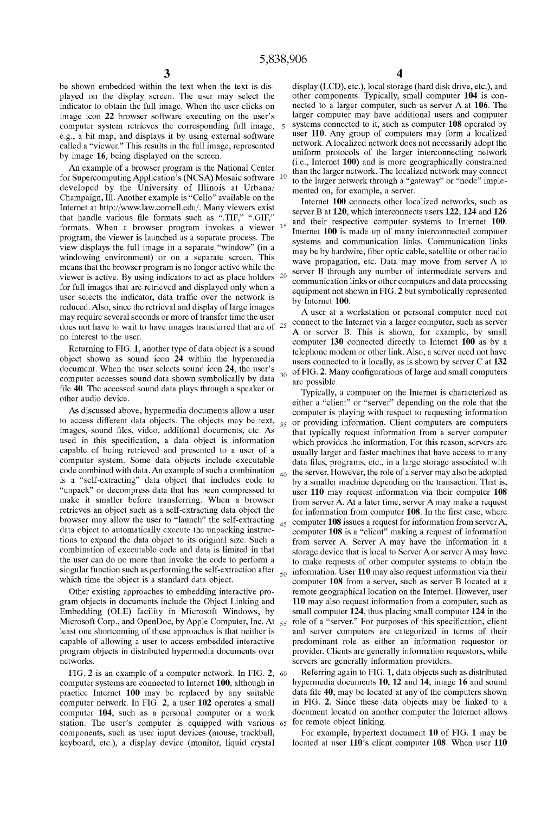played on the display screen. The user may select the indicator to obtain the full image. When the user clicks on image icon 22 browser software executing on the user's larger computer may have additional users and computer computer computer system retrieves the corresponding full image 5 systems connected to it, such as computer 108 computer system retrieves the corresponding full image, 5<br>e.g., a bit map, and displays it by using external software called a "viewer." This results in the full image, represented network. A localized network does not necessarily adopt the hire intervention of the larger interconnecting network

An example of a browser program is the National Center<br>for Supercomputing Application's (NCSA) Mosaic software 10<br>for the larger network through a "gateway" or "node" imple-<br>developed by the University of Illinois at Urban Internet at http://www.law.cornell.edu/. Many viewers exist<br>that handle various file formats such as ".TIF," ".GIF,"<br>formats. When a browser program invokes a viewer 15<br>program, the viewer is launched as a separate process program, the viewer is launched as a separate process. The systems and communication links. Communication links view displays the full image in a separate "window" (in a separate process and communication links) view displays the full image in a separate window (in a may be by hardwire, fiber optic cable, satellite or other radio windowing environment) or on a separate screen. This wave proposition at a Data may move from server A windowing environment) or on a separate screen. This<br>means that the browser program is no longer active while the<br>viewer B through any number of intermediate servers and<br>viewer is active. By using indicators to act as plac For full images that are retrieved and displayed only when a<br>user selects the indicator, data traffic over the network is<br>reduced. Also, since the retrieval and display of large images<br>may require several seconds or more o

document. When the user selects sound icon 24, the user's  $\frac{30}{20}$  of FIG. 2. Many configurations of large and small computers computer accesses sound data shown symbolically by data  $\frac{30}{20}$  are possible.

used in this specification, a data object is information capable of being retrieved and presented to a user of a

Microsoft Corp., and OpenDoc, by Apple Computer, Inc. At  $\leq 55$ networks. Servers are generally information providers.

computer systems are connected to Internet **100,** although in hypermedia documents **10, 12** and **14,** image **16** and sound practice Internet 100 may be replaced by any suitable data file 40, may be located at any of the computers shown<br>computer network. In FIG. 2, a user 102 operates a small in FIG. 2. Since these data objects may be linked to computer network. In FIG. **2,** a user **102** operates a small in FIG. **2.** Since these data objects may be linked to a computer 104, such as a personal computer or a work station. The user's computer is equipped with various  $65$  for remote object linking.<br>components, such as user input devices (mouse, trackball, For example, hypertext document 10 of FIG. 1 may be components, such as user input devices (mouse, trackball, keyboard, etc.), a display device (monitor, liquid crystal located at user **110's** client computer **108.** When user **110** 

be shown embedded within the text when the text is dis-<br>played on the display screen. The user may select the other components. Typically, small computer 104 is connected to a larger computer, such as server A at 106. The larger computer may have additional users and computer user 110. Any group of computers may form a localized network. A localized network does not necessarily adopt the by image 16, being displayed on the screen.<br>(i.e., Internet 100) and is more geographically constrained

may require several seconds of more of transfer time the user<br>no interest to the Internet via a larger computer, such as server<br>no interest to the user.<br>Returning to FIG. 1, another type of data object is a sound<br>Returning Returning to FIG. 1, another type of data object is a sound<br>telephone modem or other link. Also, a server need not have<br>object shown as sound icon 24 within the hypermedia<br>users connected to it locally as is shown by serv object shown as sound icon **24** within the hypermedia users connected to it locally, as is shown by server C at **132** 

Typically, a computer on the Internet is characterized as<br>other audio device.<br>As discussed above, hypermedia documents allow a user<br>computer is playing with respect to requesting information As discussed above, hypermedia documents allow a user computer is playing with respect to requesting information to access different data objects. The objects may be text,  $\sigma$  or providing information. Client computers ar to access different data objects. The objects may be text,  $_{35}$  or providing information. Client computers are computers images, sound files, video, additional documents, etc. As  $\frac{1}{2}$  that typically request informa that typically request information from a server computer which provides the information. For this reason, servers are capable of being retrieved and presented to a user of a usually larger and faster machines that have access to many<br>computer system. Some data objects include executable data files programs etc. in a large storage associat computer system. Some data objects include executable data files, programs, etc., in a large storage associated with code combined with data. An example of such a combination  $\alpha$  the server However the role of a server ma code combined with data. An example of such a combination  $\frac{40}{40}$  the server. However, the role of a server may also be adopted is a "self-extracting" data object that includes code to by a smaller machine denending o is a "self-extracting" data object that includes code to by a smaller machine depending on the transaction. That is,<br>"unpack" or decompress data that has been compressed to user 110 may request information via their compu "unpack" or decompress data that has been compressed to user 110 may request information via their computer 108 make a request<br>make it smaller before transferring. When a browser from server A At a later time server A may make it smaller before transferring. When a browser from server A. At a later time, server A may make a request<br>retrieves an object such as a self-extracting data object the for information from computer 108. In the first retrieves an object such as a self-extracting data object the for information from computer 108. In the first case, where browser may allow the user to "launch" the self-extracting  $\epsilon$  computer 108 issues a request for in browser may allow the user to "launch" the self-extracting  $_{45}$  computer 108 issues a request for information from server A, data object to automatically execute the unpacking instrucering computer 108 is a "client" mak data object to automatically execute the unpacking instruc-<br>tions to expand the data object to its original size. Such a server A Server A may have the information in a tions to expand the data object to its original size. Such a<br>combination of executable code and data is limited in that<br>the user can do no more than invoke the code to perform a<br>to make requests of other computer systems t the user can do no more than invoke the code to perform a to make requests of other computer systems to obtain the singular function such as performing the self-extraction after  $\epsilon_0$  information. User 110 may also reques singular function such as performing the self-extraction after  $\frac{1}{50}$  information. User 110 may also request information via their which time the object is a standard data object. computer 108 from a server, such as server B located at a Other existing approaches to embedding interactive pro- remote geographical location on the Internet. However, user gram objects in documents include the Object Linking and **110** may also request information from a computer, such as Embedding (OLE) facility in Microsoft Windows, by small computer 124, thus placing small computer 124 in the Microsoft Corp., and OpenDoc, by Apple Computer, Inc. At  $\leq$  role of a "server." For purposes of this specifica least one shortcoming of these approaches is that neither is and server computers are categorized in terms of their capable of allowing a user to access embedded interactive predominant role as either an information requestor or program objects in distributed hypermedia documents over provider. Clients are generally information requestors, while

FIG. **2** is an example of a computer network. In FIG. **2,** 60 Referring again to FIG. **1,** data objects such as distributed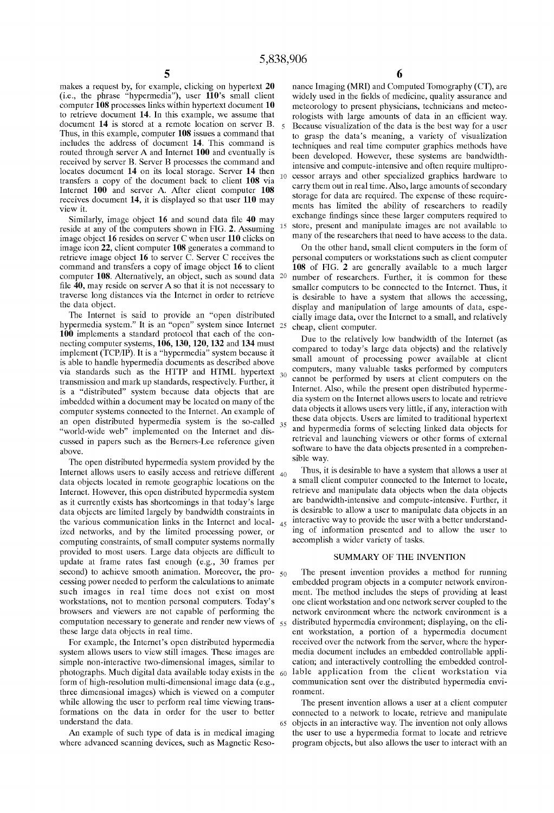computer **108** processes links within hypertext document **10** to retrieve document **14**. In this example, we assume that to retrieve document 14. In this example, we assume that rologists with large amounts of data in an efficient way, document 14 is stored at a remote location on server B. 5. Recause visualization of the data is the best wa document 14 is stored at a remote location on server B. 5 Because visualization of the data is the best way for a user<br>Thus, in this example, computer 108 issues a command that the prasp the data's meaning, a variety of vi includes the address of document 14. Ihis command is techniques and real time computer graphics methods have<br>touted through server A and Internet 100 and eventually is the developed Haugues these systems are handwidth routed through server A and Internet 100 and eventually is been developed. However, these systems are bandwidth-<br>received by server B. Server B processes the command and intensive and compute intensive and often require mu received by server B. Server B processes the command and intensive and compute-intensive and often require multipro-<br>locates document 14 on its local storage. Server 14 then  $\alpha$  access arrows and other applied multiprolocates document **l4** on its local storage' Server **l4** then 10 cessor arrays and other specialized graphics hardware to transfers a copy of the document back to client **108** via **carry** them out in real time. Also, large Internet 100 and server A. After client computer 108 carry them out in real time. Also, large amounts of secondary<br>required approach and it is displayed so that user 110 more storage for data are required. The expense of t receives document **14**, it is displayed so that user **110** may view it.

Similarly, image object  $16$  and sound data file  $40$  may exident to the computers change in  $\Gamma G$   $\Lambda$   $\Lambda$  computers 15 exide at any of the computers shown in FIG, 2. Assuming <sup>15</sup> store, present and manipulate images are not available to image object **16** resides on server C when user **110** clicks on many of the researchers that need to have access to the data.<br>image icon 22, client computer **108** generates a command to On the other hand, small client comp image icon 22, client computer 108 generates a command to retrieve image object 16 to server C. Server C receives the retrieve image object 16 to server C. Server C receives the personal computers or workstations such as client computer command and transfers a copy of image object 16 to client 108 of FIG. 2 are generally available to a mu command and transfers a copy of image object **16** to client **108** of FIG. **2** are generally available to a much larger computer **108**. Alternatively, an object, such as sound data <sup>20</sup> number of researchers. Further, it is common for these file **40**, may reside on server A so that it is not necessary to smaller computers to be connected to file 40, may reside on server A so that it is not necessary to smaller computers to be connected to the Internet. Thus, it traverse long distances via the Internet in order to retrieve is desirable to have a system that al traverse long distances via the Internet in order to retrieve is desirable to have a system that allows the accessing,<br>the data object.

hypermedia system." It is an "open" system since Internet 2s cheap, client computer, **100** implements a standard protocol that each of the connot implements a standard protocol that each of the con-<br>necting computer systems,  $106, 130, 120, 132$  and  $134$  must<br>implement (TCD/ID) It is a "bypartial" system because it. computer systems connected to the Internet. An example of cussed in papers such as the Berners-Lee reference given

The open distributed hypermedia system provided by the sible way.<br>Figure allows users to easily access and retrieve different 40. Thus, it is desirable to have a system that allows a user at Internet. However, this open distributed hypermedia system data objects are limited largely by bandwidth constraints in computing constraints, of small computer systems normally provided to most users. Large data objects are difficult to provided to most users. Large data objects are difficult to<br>update at frame rates fast enough (e.g., 30 frames per SUMMARY OF THE INVENTION second) to achieve smooth animation. Moreover, the pro- $\epsilon_{00}$  The present invention provides a method for running

form of high-resolution multi-dimensional image data (e.g., three dimensional images) which is viewed on a computer ronment. while allowing the user to perform real time viewing trans-<br>The present invention allows a user at a client computer

makes a request by, for example, clicking on hypertext 20 nance Imaging (MRI) and Computed Tomography (CT), are  $(i.e., the phrase "hypermedia"), user 110's small client widely used in the fields of medicine, quality assurance and$ widely used in the fields of medicine, quality assurance and meteorology to present physicians, technicians and meteoments has limited the ability of researchers to readily exchange findings since these larger computers required to

the data object.<br>The Internet is said to provide an "open distributed cially image data over the Internet to a small and relatively cially image data, over the Internet to a small, and relatively

implement (TCP/IP). It is a "hypermedia" system because it compared to today's large data objects) and the relatively<br>is able to bandle hypermedia documents as described above small amount of processing power available at is able to handle hypermedia documents as described above<br>via standards, such as the HTTP and HTMI hypertext computers, many valuable tasks performed by computers via standards such as the HTTP and HTML hypertext  $\sigma_3$  computers, many valuable tasks performed by computers<br>transmission and mark up standards respectively Eurther it transmission and mark up standards, respectively. Further, it<br>30 cannot be performed by users at client computers on the<br>30 cannot be present open distributed hyperme-<br>30 cannot by attention of the present open distributed is a "distributed" system because data objects that are Internet. Also, while the present open distributed hyperme-<br>imbedded within a document may be located on many of the dia system on the Internet allows users to locate imbedded within a document may be located on many of the dia system on the Internet allows users to locate and retrieve<br>computer systems connected to the Internet. An example of data objects it allows users very little, if an open distributed hypermedia system is the so-called  $35$  these data objects. Users are limited to traditional hypertext "world-wide web" implemented on the Internet and dis-<br>cussed in papers such as the Berners-Lee reference given<br>cussed in papers such as the Berners-Lee reference given above. In papers such as the Berners Ecc reference given<br>above.<br>The name of international comprehen-<br>sible way.

Internet allows users to easily access and retrieve different  $\frac{40}{40}$  Thus, it is desirable to have a system that allows a user at data objects located in remote geographic locations on the a small client computer con data objects located in remote geographic locations on the a small client computer connected to the Internet to locate,<br>Internet However this open distributed hypermedia system retrieve and manipulate data objects when the as it currently exists has shortcomings in that today's large are bandwidth-intensive and compute-intensive. Further, it<br>data objects are limited largely by bandwidth constraints in is desirable to allow a user to manipula the various communication links in the Internet and local- $_{45}$  interactive way to provide the user with a better understandized networks, and by the limited processing power, or  $\frac{1}{\alpha}$  ing of information presented and to allow the user to computing constraints of small computer systems normally

cessing power needed to perform the calculations to animate embedded program objects in a computer network environ-<br>such images in real time does not exist on most ment. The method includes the steps of providing at least ment. The method includes the steps of providing at least workstations, not to mention personal computers. Today's one client workstation and one network server coupled to the browsers and viewers are not capable of performing the network environment where the network environment is a computation necessary to generate and render new views of  $55$  distributed hypermedia environment; displaying, on the clithese large data objects in real time. ent workstation, a portion of a hypermedia document For example, the Internet's open distributed hypermedia received over the network from the server, where the hypersystem allows users to view still images. These images are media document includes an embedded controllable applisimple non-interactive two-dimensional images, similar to cation; and interactively controlling the embedded control-<br>photographs. Much digital data available today exists in the  $_{60}$  lable application from the client w photographs. Much digital data available today exists in the  $60$  lable application from the client workstation via<br>form of high-resolution multi-dimensional image data (e.g., communication sent over the distributed hyper

formations on the data in order for the user to better connected to a network to locate, retrieve and manipulate understand the data. 65 objects in an interactive way. The invention not only allows An example of such type of data is in medical imaging the user to use a hypermedia format to locate and retrieve where advanced scanning devices, such as Magnetic Reso- program objects, but also allows the user to interact with an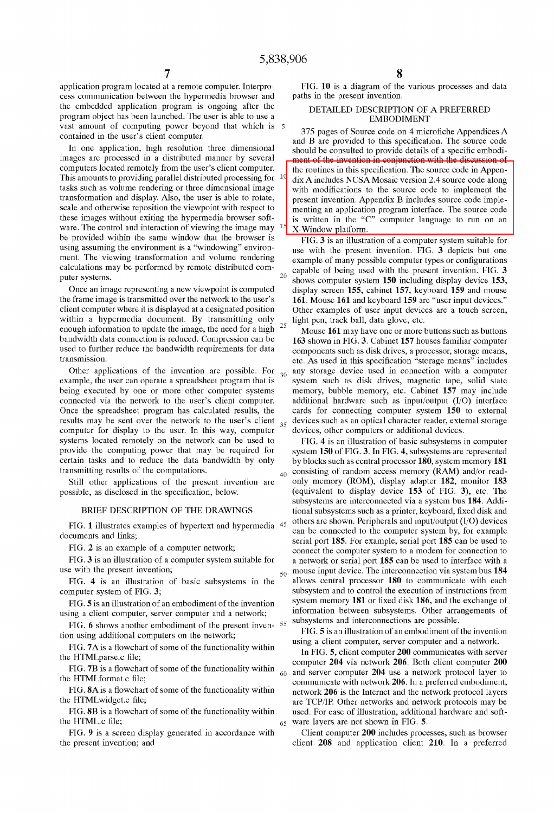application program located at a remote computer. Interpro-<br>
FIG. 10 is a diagram of the various processes and data<br>
cess communication between the hypermedia browser and<br>
paths in the present invention. cess communication between the hypermedia browser and the embedded application program is ongoing after the DETAILED DESCRIPTION OF A PREFERRED program object has been launched. The user is able to use a EMBODIMENT program object has been launched. The user is able to use a vast amount of computing power beyond that which is 5 contained in the user's client computer.

This amounts to providing parallel distributed processing for  $10$  tasks such as volume rendering or three dimensional image tasks such as volume rendering or three dimensional image with modifications to the source code to implement the transformation and display. Also, the user is able to rotate, resent invention. Appendix B includes source co transformation and display. Also, the user is able to rotate, present invention. Appendix B includes source code imple-<br>
scale and otherwise reposition the viewpoint with respect to menting an application program interface scale and otherwise reposition the viewpoint with respect to  $\overline{a}$  is written in the "C" computer language to run on an application program interface. The source code ware. The control and interaction of viewing the image may <sup>15</sup> x-Window platform, be provided within the same window that the browser is **ELG** 3 is an illustration be provided within the same window that the browser is FIG. **3** is an illustration of a computer system suitable for using assuming the environment is a "windowing" environusing assuming the environment is a "windowing" environ-<br>ment. The viewing transformation and volume rendering<br>calculations may be performed by remote distributed com-<br>puter systems.<br>puter systems.

Once an image representing a new viewpoint is computed display screen 155, cabinet 157, keyboard 159 and mouse<br>the frame image is transmitted over the network to the user's 161. Mouse 161 and keyboard 159 are "user input d the frame image is transmitted over the network to the user's **161**. Mouse 161 and keyboard 159 are "user input devices." client computer where it is displayed at a designated position Other examples of user input devices within a hypermedia document. By transmitting only  $\frac{1}{25}$  light pen, track ball, data glove, etc.<br>enough information to update the image, the need for a high  $\frac{25}{25}$  Mouse 161 may have one or more l enough information to update the image, the need for a high <sup>25</sup> Mouse 161 may have one or more buttons such as buttons<br>bandwidth data connection is reduced. Compression can be **163** shown in FIG. 3. Cabinet 157 houses fam bandwidth data connection is reduced. Compression can be **163** shown in FIG, **3,** cabinet **157** houses familiar computer used to further reduce the bandwidth requirements for data components such as disk drives, a processor, storage means, transmission.

example, the user can operate a spreadsheet program that is  $\degree$  system such as disk drives, magnetic tape, solid state being executed by one or more other computer systems memory, bubble memory, etc. Cabinet **157** may include connected via the network to the user's client computer. additional hardware such as input/output  $(I/O)$  interface<br>Once the spreadsheet program has calculated results, the cards for connecting computer system 150 to extern Once the spreadsheet program has calculated results, the results may be sent over the network to the user's client  $_{35}$  devices such as an optical character reader, external storage computer for display to the user. In this way, computer  $\sim$  devices, other computers or additional devices. systems located remotely on the network can be used to FIG. 4 is an illustration of basic subsystems in computer provide the computing power that may be required for system 150 of FIG. 3. In FIG. 4, subsystems are represen provide the computing power that may be required for system 150 of FIG. 3. In FIG. 4, subsystems are represented certain tasks and to reduce the data bandwidth by only by blocks such as central processor 180, system memory

FIG. 6 shows another embodiment of the present inven-55 subsystems and interconnections are possible.<br>FIG. 5 is an illustration of an embodiment of the invention

FIG. 7A is a flowchart of some of the functionality within FIG. TA IS a nowchart of some of the functionality within In FIG. 5, client computer 200 communicates with server<br>the HTMLparse.c file;<br> $\frac{204 \text{ min, network}}{204 \text{ min, network}}$ 

the HTML.c file; 65 ware layers are not shown in FIG. 5.

the present invention; and client **208** and application client **210.** In a preferred

**7 8** 

375 pages of Source code on 4 microfiche Appendices A and B are provided to this specification. The source code In one application, high resolution three dimensional<br>images are processed in a distributed manner by several<br>computers located remotely from the user's client computer.<br>the routines in this specification. The source code the routines in this specification. The source code in Appendix A includes NCSA Mosaic version 2.4 source code along

puter systems. 20 shows computer system **150** including display device **153,**  Other examples of user input devices are a touch screen,

etc. As used in this specification "storage means" includes Other applications of the invention are possible. For  $_{20}$  any storage device used in connection with a computer

by blocks such as central processor 180, system memory 181 transmitting results of the computations.  $\mu_0$  consisting of random access memory (RAM) and/or read-Still other applications of the present invention are  $\degree$  only memory (ROM), display adapter 182, monitor 183 possible, as disclosed in the specification, below. (equivalent to display device **153** of FIG. **3),** etc. The subsystems are interconnected via a system bus **184.** Addi-BRIEF DESCRIPTION OF THE DRAWINGS tional subsystems such as a printer, keyboard, fixed disk and FIG. 1 illustrates examples of hypertext and hypermedia 45 others are shown. Peripherals and input/output (I/O) devices<br>documents and links;<br>FIG. 2 is an example of a computer network;<br>FIG. 2 is an example of a computer ne FIG. 2 is an example of a computer network;<br>FIG. 3 is an illustration of a computer system suitable for a network or serial port 185 can be used to interface with a FIG. **3** is an illustration of a computer system suitable for a network or serial port 185 can be used to interface with a use with the present invention; <sub>50</sub> mouse input device. The interconnection via system bus **184** FIG. 4 is an illustration of basic subsystems in the allows central processor 180 to communicate with each computer system of FIG. **3;** subsystem and to control the execution of instructions from<br>FIG. 5 is an illustration of an embodiment of the invention system memory 181 or fixed disk 186, and the exchange of FIG. **5** is an illustration of an embodiment of the invention **181 181 181 181 or fixed disk 186**, and the exchange of incomputer server computer and a network: information between subsystems. Other arrangements of using a client computer, server computer and a network; information between subsystems. Other arra

tion using additional computers on the network;<br>FIG. **5** is an illustration of an embodiment of the invention<br>FIG. **5 is an idea** is the invention of the invention of the invention of the invention of the invention of th

computer **204** via network **206.** Both client computer **200**  FIG. 7B is a flowchart of some of the functionality within 60 and server computer 204 use a network protocol layer to<br>the HTMLformat.c file;<br>communicate with network 206 In a preferred embodiment the HTMLformat.c file;<br>FIG. 8A is a flowchart of some of the functionality within entwork 206 is the Internet and the network protocol lavers FIG. 8A is a flowchart of some of the functionality within network 206 is the Internet and the network protocol layers<br>network and network protocols may be<br>her networks and network protocols may be the HTMLwidget.c file;<br>FIG. 8B is a flowchart of some of the functionality within used. For ease of illustration, additional hardware and softused. For ease of illustration, additional hardware and soft-

FIG. **9** is a screen display generated in accordance with Client computer **200** includes processes, such as browser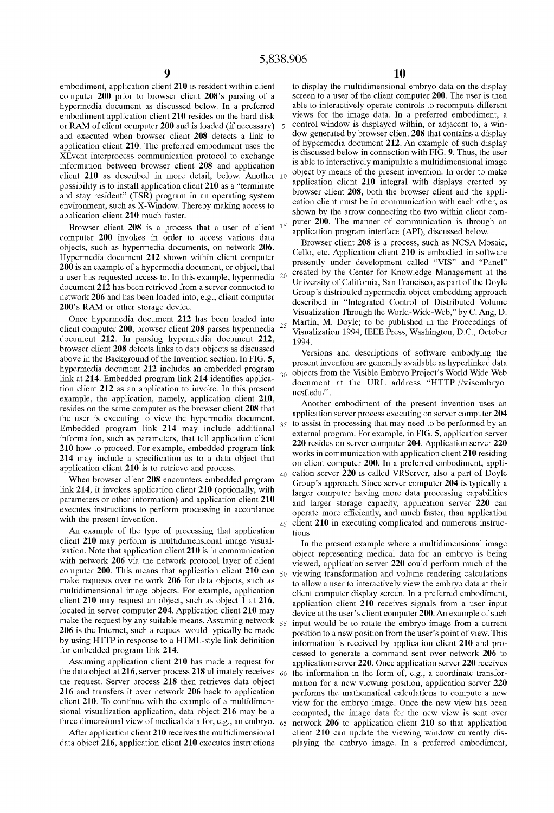computer **200** prior to browser client **208**'s parsing of a information between browser client 208 and application environment, such as X-Window. Thereby making access to application client 210 much faster.

Browser client 208 is a process that a user of client <sup>15</sup> puter 200. The mainer of communication is imough an<br>computer 200 invokes in order to access various data<br>objects, such as hypermedia documents, on network 206.<br>Hyp **200** is an example of a hypermedia document, or object, that presently under development called "VIS" and "Panel"

document 212. In parsing hypermedia document 212,<br>howse client 200 detects links to data objects a discussed<br>howe in the Background of the Invention section. In FIG. 5,<br>hypermedia document 212 includes an embedded program<br>

An example of the type of processing that application tions,<br>client  $210$  may perform is multidimensional image visualchent 210 may perform is multidimensional image visual-<br>ization. Note that application client 210 is in communication<br>with network 206 via the network protocol layer of client<br>computer 220 could perform much of the<br>comput computer **200**. Inis means that application client **210** can  $_{50}$  viewing transformation and volume rendering calculations make requests over network **206** for data objects, such as  $_{10}$  allow a user to interactively v make requests over network 200 for data objects, such as<br>multidimensional image objects. For example, application<br>client computer display screen. In a preferred embodiment,<br>client 210 may request an object, such as object make the request by any suitable means. Assuming network  $55$  input would be to rotate the embryo image from a current  $206$  is the Internet, such a request would typically be made

embodiment, application client 210 is resident within client to display the multidimensional embryo data on the display computer 200 prior to browser client 208's parsing of a screen to a user of the client computer 200. T hypermedia document as discussed below. In a preferred able to interactively operate controls to recompute different embodiment application client 210 resides on the hard disk views for the image data. In a preferred embod embodiment application client 210 resides on the hard disk views for the image data. In a preferred embodiment, a<br>or RAM of client computer 200 and is loaded (if necessary) 5 control window is displayed within, or adjacent or RAM of client computer 200 and is loaded (if necessary) s control window is displayed within, or adjacent to, a win-<br>and executed when browser client 208 detects a link to dow generated by browser client 208 that contai and executed when browser client 208 detects a link to dow generated by browser client 208 that contains a display<br>of hypermedia document 212. An example of such display application client **210**. The preferred embodiment uses the of hypermedia document **212**. An example of such display<br>Selected by the such and the such and is discussed below in connection with FIG. 9. Thus, the user XEvent interprocess communication protocol to exchange is discussed below in connection with FIG. **9.** Thus, the user<br>is able to interactively manipulate a multidimensional image client 210 as described in more detail, below, Another 10 object by means of the present invention. In order to make<br>client 210 integral with displays created by<br>application client 210 integral with displays created by possibility is to install application client **210** as a "terminate application client **210** integral with displays created by and stay resident" (TSB) program in an operating system browser client **208**, both the browser c and stay resident" (TSR) program in an operating system browser client **208**, both the browser client and the appli-<br>cation client must be in communication with each other, as shown by the arrow connecting the two within client com-<br>puter **200**. The manner of communication is through an

a user has requested access to. In this example, hypermedia 20 created by the Center for Knowledge Management at the<br>document 212 has been retrieved from a server connected to<br>network 206 and has been loaded into, e.g., cl Once hypermedia document 212 has been loaded into<br>ent computer 200, browser client 208 parses hypermedia<br>cument 212. In parsing hypermedia document 212<br>12. In parsing hypermedia document 212

executes instructions to perform processing in accordance<br>with the present invention.<br>45 client **210** in executing complicated and numerous instruc-

**206** is the internet, such a request would typically be made position to a new position from the user's point of view. This by using HTTP in response to a HTML-style link definition information is received by application by using the distribution in response to a HTML-style link definition into the state of the method **210** to application server **220** cessed to generate a command sent over network **206** to application server **220** receives Assuming application client 210 has made a request for application server 220. Once application server 220 receives the data object at 216, server process 218 ultimately receives <sub>60</sub> the information in the form of, e.g., the data object at 216, server process 218 ultimately receives  $\epsilon_0$  the information in the form of, e.g., a coordinate transfor-<br>the request. Server process 218 then retrieves data object mation for a new viewing positi the request. Server process **218** then retrieves data object mation for a new viewing position, application server **220**  216 and transfers it over network 206 back to application performs the mathematical calculations to compute a new client 210. To continue with the example of a multidimen-<br>sional visualization application, data object 216 sional visualization application, data object 216 may be a computed, the image data for the new view is sent over<br>three dimensional view of medical data for, e.g., an embryo.  $65$  network 206 to application client 210 so t three dimensional view of medical data for, e.g., an embryo. 65 network 206 to application client 210 so that application<br>After application client 210 receives the multidimensional client 210 can update the viewing window client 210 can update the viewing window currently disdata object **216,** application client **210** executes instructions playing the embryo image. In a preferred embodiment,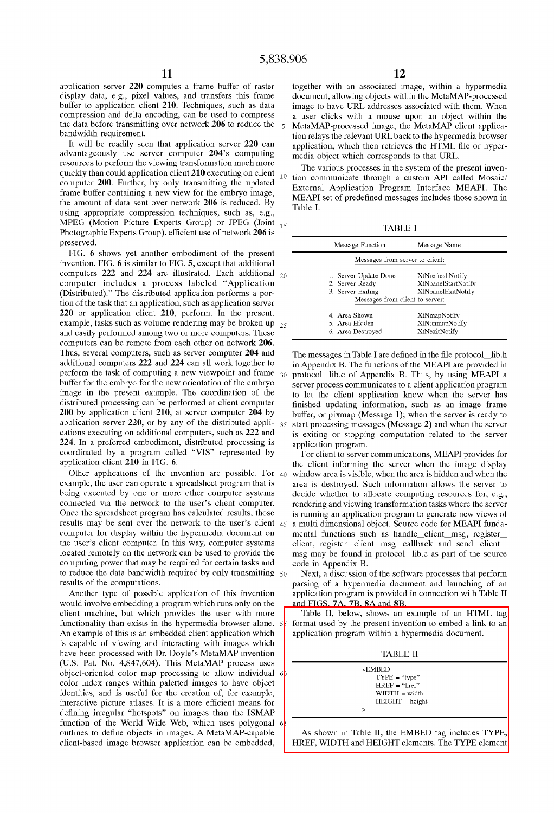display data, e.g., pixel values, and transfers this frame buffer to application client 210. Techniques, such as data buffer to application client 210. Techniques, such as data image to have URL addresses associated with them. When compression and delta encoding, can be used to compress a user clicks with a mouse upon an object within the compression and delta encoding, can be used to compress a user clicks with a mouse upon an object within the the data before transmitting over network 206 to reduce the  $\epsilon$  MetaMAP-processed image the MetaMAP client appl

advantageously use server computer 204's computing<br>resources to perform the viewing transformation much more<br>quickly than could application client 210 executing on client<br>computer 200. Further, by only transmitting the upd using appropriate compression techniques, such as, e.g., MPEG (Motion Picture Experts Group) or JPEG (Joint MPEG (Motion Picture Experts Group) or JPEG (Joint  $_{15}$  TABLE I<br>Photographic Experts Group), efficient use of network 206 is TABLE I<br>preserved. preserved. Message Function Message Name

FIG. 6 shows yet another embodiment of the present invention. FIG.  $6$  is similar to FIG.  $5$ , except that additional computers 222 and 224 are illustrated. Each additional  $_{20}$ computer includes a process labeled "Application (Distributed)." The distributed application performs a portion of the task that an application, such as application server  $220$  or application client  $210$ , perform. In the present. example, tasks such as volume rendering may be broken up  $_{25}$ and easily performed among two or more computers. These computers can be remote from each other on network 206.<br>Thus, several computers, such as server computer 204 and 224. In a preferred embodiment, distributed processing is coordinated by a program called "VIS" represented by  $\overrightarrow{f}$  for client to server communications, MEAPI provides for application client 210 in FIG. 6.

computing power that may be required for certain tasks and code in Appendix B.<br>to reduce the data bandwidth required by only transmitting  $\epsilon_0$  Next, a discussion to reduce the data bandwidth required by only transmitting  $50$  Next, a discussion of the software processes that perform results of the computations.

would involve embedding a program which runs only on the and FIGS. 7A, 7B, 8A and 8B.<br>
client machine, but which provides the user with more Table II, below, shows an example of an HTML tag client machine, but which provides the user with more functionality than exists in the hypermedia browser alone.  $5\frac{1}{8}$  format used by the present invention to embed a link to an An example of this is an embedded client application which application program within a hypermedia document. is capable of viewing and interacting with images which have been processed with Dr. Doyle's MetaMAP invention TABLE II (U.S. Pat. No. 4,847,604). This MetaMAP process uses object-oriented color map processing to allow individual 6<br>color index ranges within paletted images to have object<br>HREF = "href" color index ranges within paletted images to have object  $H_{REF} = \frac{v_{F}F}{H_{REF}} = \frac{v_{F}F}{m_{F}}$ <br>identities, and is useful for the creation of, for example, identities, and is useful for the creation of, for example,<br>interactive picture atlases. It is a more efficient means for HEIGHT = height interactive picture atlases. It is a more efficient means for  $\vert$ defining irregular "hotspots" on images than the ISMAP function of the World Wide Web, which uses polygonal 6 outlines to define objects in images. A MetaMAP-capable As shown in Table II, the EMBED tag includes TYPE.

application server 220 computes a frame buffer of raster together with an associated image, within a hypermedia<br>display data, e.g., pixel values, and transfers this frame document, allowing objects within the MetaMAP-proce the data before transmitting over network 206 to reduce the  $\frac{1}{5}$  MetaMAP-processed image, the MetaMAP client applica-<br>bandwidth requirement. It will be readily seen that application server 220 can application, which

External Application Program Interface MEAPI. The<br>frame buffer containing a new view for the embryo image,<br>the amount of data sent over network 206 is reduced. By<br> $R = 11.1$ Table I.

| Message Function                | Message Name        |
|---------------------------------|---------------------|
| Messages from server to client: |                     |
| 1. Server Update Done           | XtNrefreshNotify    |
| 2. Server Ready                 | XtNpanelStartNotify |
| 3. Server Exiting               | XtNpanelExitNotify  |
| Messages from client to server: |                     |
| 4. Area Shown                   | XtNmapNotify        |
| 5. Area Hidden                  | XtNunmapNotify      |
| 6. Area Destroyed               | XtNexitNotify       |

Thus, several computers, such as server computer 204 and The messages in Table I are defined in the file protocol-lib.h additional computers 222 and 224 can all work together to  $\frac{1}{2}$  in Appendix B. The functions of t additional computers 222 and 224 can all work together to in Appendix B. The functions of the MEAPI are provided in perform the task of computing a new viewpoint and frame  $\frac{30}{2}$  protocol lib c of Appendix B. Thus, by perform the task of computing a new viewpoint and frame 30 protocol—lib.c of Appendix B. Thus, by using MEAPI a<br>buffer for the embryo for the new orientation of the embryo<br>server process communicates to a client applicatio buffer for the embryo for the new orientation of the embryo server process communicates to a client application program<br>image in the present example. The coordination of the the client application know when the server has image in the present example. The coordination of the to let the client application know when the server has distributed processing can be performed at client computer finished updating information, such as an image frame distributed processing can be performed at client computer finished updating information, such as an image frame<br>200 by application client 210, at server computer 204 by buffer or pixmap (Message 1); when the server is rea 200 by application client 210, at server computer 204 by buffer, or pixmap (Message 1); when the server is ready to application server 220, or by any of the distributed appli- $\frac{35}{25}$  start processing messages (Message application server 220, or by any of the distributed appli-  $35$  start processing messages (Message 2) and when the server cations executing on additional computers, such as 222 and is exiting or stopping computation rela is exiting or stopping computation related to the server application program.

Other applications of the invention are possible. For 40 window area is visible, when the area is hidden and when the example, the user can operate a spreadsheet program that is area is destroved. Such information allows t example, the user can operate a spreadsheet program that is area is destroyed. Such information allows the server to being executed by one or more other computer systems decide whether to allocate computing resources for, being executed by one or more other computer systems decide whether to allocate computing resources for, e.g., connected via the network to the user's client computer. rendering and viewing transformation tasks where the s connected via the network to the user's client computer. rendering and viewing transformation tasks where the server<br>Once the spreadsheet program has calculated results, those is running an application program to generate is running an application program to generate new views of results may be sent over the network to the user's client 45 a multi dimensional object. Source code for MEAPI funda-<br>computer for display within the hypermedia document on mental functions such as handle client msg, regis computer for display within the hypermedia document on mental functions such as handle\_client\_msg, register\_<br>the user's client computer. In this way, computer systems client, register client msg callback and send client the user's client computer. In this way, computer systems client, register\_client\_msg\_callback and send\_client\_<br>located remotely on the network can be used to provide the msg may be found in protocol lib.c as part of the s msg may be found in protocol-1ib.c as part of the source

parsing of a hypermedia document and launching of an Another type of possible application of this invention application program is provided in connection with Table I1

client-based image browser application can be embedded, HREF, WIDTH and HEIGHT elements. The TYPE element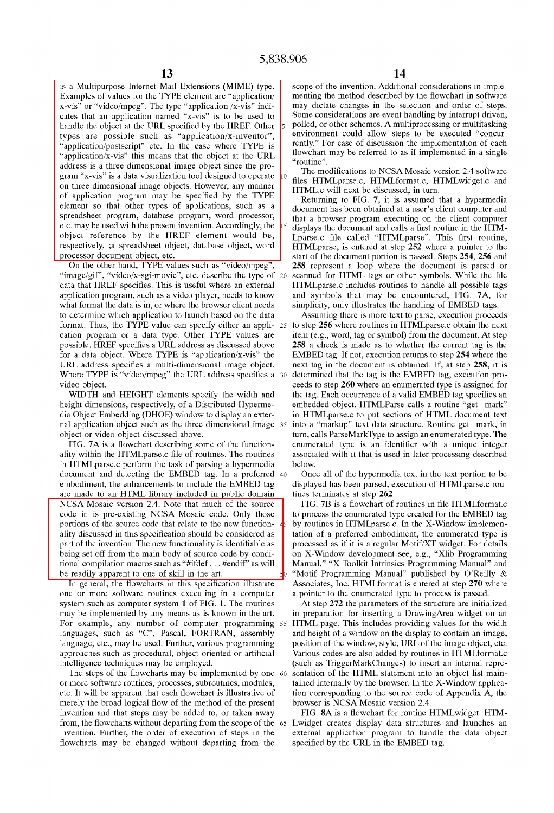Examples of values for the TYPE element are "application/ $\begin{array}{|l|l|}$  menting the method described by the flowchart in software x-vis" or "video/mpeg". The type "application /x-vis" indi-<br>may dictate changes in the selec x-vis" or "video/mpeg". The type "application /x-vis" indi- may dictate changes in the selection and order of steps.<br>
cates that an application named "x-vis" is to be used to Some considerations are event handling by inte cates that an application named "x-vis" is to be used to Some considerations are event handling by interrupt driven, handle the object at the LIRI specified by the HRFF Other schemes. A multiprocessing or multitasking handle the object at the URL specified by the HREF. Other specified, or other schemes. A multiprocessing or multitasking<br>types are possible such as "anplication/x-inventor" environment could allow steps to be executed "co types are possible such as "application/x-inventor", environment could allow steps to be executed "concur-<br>"application/postscript" etc. In the case where TVPF is  $\frac{1}{2}$  application/postscript" etc. In the case where TYPE is rently." For ease of discussion the implementation of each interval the chief of the IIDI flowchart may be referred to as if implemented in a single "application/x-vis" this means that the object at the URL  $\left| \begin{array}{c} 1 \text{ non-constant} \\ \text{``routine''} \end{array} \right|$ address is a three dimensional image object since the program "x-vis" is a data visualization tool designed to operate 10 The modifications to NCSA Mosaic version 2.4 software gram "x-vis" is a data visualization to the modification of designed to operate 10 files HTMLparse.c, H on three dimensional image objects. However, any manner<br>of application program may be specified by the TYPE<br>element so that other types of applications, such as a<br>specified by the TYPE<br>element so that other types of applic spreadsheet program, database program, word processor, that a browser program executing on the client computer etc. may be used with the present invention. Accordingly, the  $\frac{1}{5}$  displays the document and calls a firs object reference by the HREF element would be, Lanse.c file called "HTMLparse". This first routine, respectively, ;a spreadsheet object, database object, word HTMLparse, is entered at step 252 where a pointer to the

On the other hand, TYPE values such as "video/mpeg", 258 represent a loop where the document is parsed or "image/gif", "video/x-sgi-movie", etc. describe the type of 20 scanned for HTML tags or other symbols. While the fil "image/gif", "video/x-sgi-movie", etc. describe the type of 20 scanned for HTML tags or other symbols. While the file<br>data that HREF specifies. This is useful where an external HTML parse.c includes routines to handle all application program, such as a video player, needs to know and symbols that may be encountered, FIG. 7A, for what format the data is in, or where the browser client needs simplicity, only illustrates the handling of EMBED to determine which application to launch based on the data Assuming there is more text to parse, execution proceeds format. Thus, the TYPE value can specify either an appli- 25 to step 256 where routines in HTMLparse.c obtain the next cation program or a data type. Other TYPE values are item (e.g., word, tag or symbol) from the documen cation program or a data type. Other TYPE values are item (e.g., word, tag or symbol) from the document. At step possible. HREF specifies a URL address as discussed above  $258$  a check is made as to whether the current ta for a data object. Where TYPE is "application/x-vis" the EMBED tag. If not, execution returns to step 254 where the URL address specifies a multi-dimensional image object. next tag in the document is obtained. If, at step 258, it is Where TYPE is "video/mpeg" the URL address specifies a 30 determined that the tag is the EMBED tag, execution pro-

ality within the HTMLparse.c file of routines. The routines associated with it that is used in later processing described in HTML parse. c perform the task of parsing a hypermedia below.<br>document and detecting the EMBED tag. In a preferred 40 Once all of the hypermedia text in the text portion to be document and detecting the EMBED tag. In a preferred 40 are made to an HTML library included in public domain tines terminates at step 262. NCSA Mosaic version 2.4. Note that much of the source FIG. 7B is a flowchart of routines in file HTMLformat.c code in is pre-existing NCSA Mosaic code. Only those to process the enumerated type created for the EMBED tag portions of the source code that relate to the new function-  $\frac{1}{2}$  by routines in HTML parse.c. In the X-Window implemenality discussed in this specification should be considered as  $\parallel$  tation of a preferred embodiment, the enumerated type is part of the invention. The new functionality is identifiable as processed as if it is a regular Motif/XT widget. For details being set off from the main body of source code by condi-<br>on X-Window development see, e.g., "Xl tional compilation macros such as "#ifdef . . . #endif" as will Manual," "X Toolkit Intrinsics Programming Manual" and

one or more software routines executing in a computer a pointer to the enumerated type to process is passed. system such as computer system 1 of FIG. 1. The routines At step 272 the parameters of the structure are initialized may be implemented by any means as is known in the art. in preparation for inserting a DrawingArea widget For example, any number of computer programming 55 HTML page. This includes providing values for the width languages, such as "C", Pascal, FORTRAN, assembly and height of a window on the display to contain an image, language, etc., may be used. Further, various programming position of the window, style, URL of the image object, etc. approaches such as procedural, object oriented or artificial Various codes are also added by routines in HTMLformat.c

or more software routines, processes, subroutines, modules, tained internally by the browser. In the X-Window applicaetc. It will be apparent that each flowchart is illustrative of tion corresponding to the source code of Appendix A, the merely the broad logical flow of the method of the present browser is NCSA Mosaic version 2.4. invention and that steps may be added to, or taken away FIG. 8A is a flowchart for routine HTMLwidget. HTMfrom, the flowcharts without departing from the scope of the 65 Lwidget creates display data structures and launches an invention. Further, the order of execution of steps in the external application program to handle the data object flowcharts may be changed without departing from the specified by the URL in the EMBED tag.

is a Multipurpose Internet Mail Extensions (MIME) type. scope of the invention. Additional considerations in imple-<br>Examples of values for the TYPE element are "application/ menting the method described by the flowchart in

respectively, ;a spreadsheet object, database object, word<br>processor document object, etc.<br>start of the document portion is passed. Steps 254, 256 and ocessor document object, etc.<br>
On the other hand, TYPE values such as "video/mpeg", 258 represent a loop where the document is parsed or HTMLparse.c includes routines to handle all possible tags simplicity, only illustrates the handling of EMBED tags.

258 a check is made as to whether the current tag is the video object.<br>WIDTH and HEIGHT elements specify the width and the tag. Each occurrence of a valid EMBED tag specifies an the tag. Each occurrence of a valid EMBED tag specifies an height dimensions, respectively, of a Distributed Hyperme-<br>dia Object Embedding (DHOE) window to display an exter-<br>in HTMLparse.c to put sections of HTML document text in HTMLparse.c to put sections of HTML document text nal application object such as the three dimensional image 35 into a "markup" text data structure. Routine get\_mark, in object or video object discussed above. turn, calls ParseMarkType to assign an enumerated type. The enumerated type is an identifier with a unique integer

embodiment, the enhancements to include the EMBED tag displayed has been parsed, execution of HTMLparse.c rou-

on X-Window development see, e.g., "Xlib Programming be readily apparent to one of skill in the art.<br>In general, the flowcharts in this specification illustrate Associates, Inc. HTMLformat is entered at step 270 where Associates, Inc. HTMLformat is entered at step 270 where

in preparation for inserting a DrawingArea widget on an and height of a window on the display to contain an image, intelligence techniques may be employed. (such as TriggerMarkChanges) to insert an internal repre-The steps of the flowcharts may be implemented by one 60 sentation of the HTML statement into an object list main-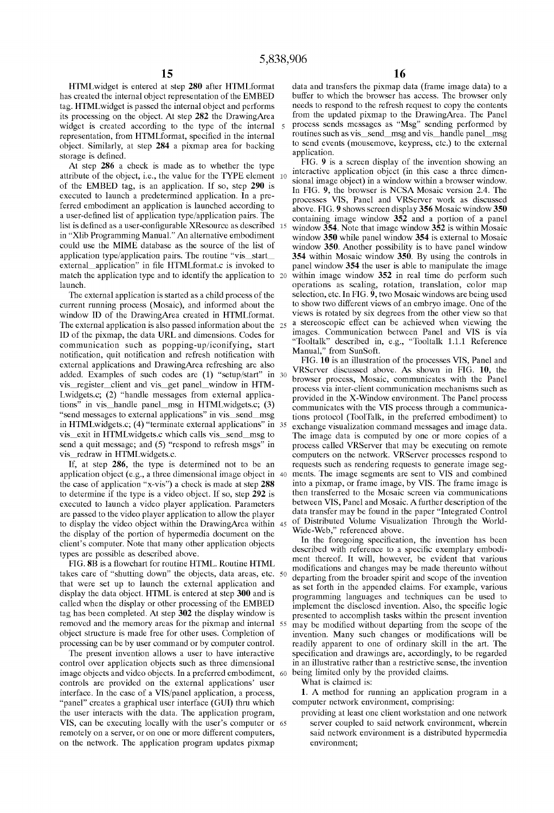has created the internal object representation of the EMBED tag. HTML widget is passed the internal object and performs needs to respond to the refresh request to copy the contents its processing on the object At step 282 the Drawing Area from the updated pixmap to the Drawing Area its processing on the object. At step 282 the DrawingArea widget is created according to the type of the internal widget is created according to the type of the internal s Process sends messages as ''Msg" sending performed by representation, from HTMLformat, specified in the internal routines such as vis\_send\_msg and vis\_handle panel\_msg object. Similarly, at step 284 a pixmap area for backing to send events (mousemove, keypress, etc.) to the external application.

attribute of the object, i.e., the value for the TYPE element  $10$  interactive application object (in this case a three dimenof the EMBED tag, is an application. If so, step 290 is<br>executed to launch a predetermined application. In a pre-<br>ferred embodiment an application is launched according to<br>a user-defined list of application type/applicatio in "Xlib Programming Manual." An alternative embodiment window **350** while panel window **354** is external to Mosaic could use the MIME database as the source of the list of window **350**. Another possibility is to have pane could use the MIME database as the source of the list of window 350. Another possibility is to have panel window<br>application type/application pairs. The routine "vis start 354 within Mosaic window 350 By using the controls application type/application pairs. The routine "vis\_start **354** within Mosaic window **350**. By using the controls in external application" in file HTMLformat.c is invoked to panel window **354** the user is able to manipula match the application type and to identify the application to 20 launch.

communication such as popping-up/iconifying, start "Tooltalk" described in<br>netification quit patification and reference problems with Manual," from SunSoft. notification, quit notification and refresh notification with<br>FIG. 10 is an illustration of the processes VIS, Panel and<br> $\overline{F}$ G. 10 is an illustration of the processes VIS, Panel and external applications and DrawingArea refreshing are also added. Examples of such codes are (1) "setup/start" in 30

are passed to the video player application to allow the player to display the video object within the Drawing Area within 45 of Distributed Volume Visualization Through the World-<br>the display the video object within the Drawing Area within 45 Wide-Web," referenced above. the display of the portion of hypermedia document on the Wide-Web," referenced above.<br>In the foregoing specification, the invention has been client's computer. Note that many other application objects

FIG. 8B is a flowchart for routine HTML. Routine HTML<br>takes care of "shutting down" the objects, data areas, etc. 50<br>the modifications and changes may be made thereunto without<br>that were set up to launch the external appli that were set up to flaunch the external application and<br>display the data object. HTML is entered at step 300 and is<br>programming languages and techniques can be used to display the data object. HTML is entered at step **300** and is programming languages and techniques can be used to called when the display or other processing of the EMBED implement the disclosed invention. Also, the specif called when the display or other processing of the EMBED implement the disclosed invention. Also, the specific logic<br>tag has been completed. At step 302 the display window is researted to accomplish tasks within the presen tag has been completed. At step 302 the display window is presented to accomplish tasks within the present invention removed and the memory areas for the pixmap and internal 55 may be modified without departing from the sc

control over application objects such as three dimensional in an illustrative rather than a restrictive sense, the invention image objects and video objects. In a preferred embodiment, 60 being limited only by the provided image objects and video objects. In a preferred embodiment, 60 being limited only by controls are provided on the external applications' user What is claimed is: controls are provided on the external applications' user What is claimed is:<br>
interface. In the case of a VIS/panel application, a process, 1. A method for running an application program in a interface. In the case of a VIS/panel application, a process, **1.** A method for running an application "panel" creates a graphical user interface (GUI) thru which computer network environment, comprising: "panel" creates a graphical user interface (GUI) thru which the user interacts with the data. The application program, providing at least one client workstation and one network VIS, can be executing locally with the user's computer or 65 server coupled to said network environment, wherein remotely on a server, or on one or more different computers, said network environment is a distributed hypermedia on the network. The application program updates pixmap environment;

HTMLwidget is entered at step **280** after HTMLformat data and transfers the pixmap data (frame image data) to a

storage is defined.<br>At stap 286 a sheek is made as to whether the type FIG. 9 is a screen display of the invention showing an At step 286 a check is made as to whether the type FIG. **9** is a screen display of the invention showing an extending the interactive application object (in this case a three dimenpanel window 354 the user is able to manipulate the image window  $352$  in real time do perform such operations as scaling, rotation, translation, color map The external application is started as a child process of the selection, etc. In FIG. 9, two Mosaic windows are being used<br>rrent running process (Mosaic), and informed about the to show two different views of an embryo ima current running process (Mosaic), and informed about the to show two different views of an embryo image. One of the window ID of the Drawing Area created in HTMI format views is rotated by six degrees from the other view s window ID of the Drawing Area created in HTML format. views is rotated by six degrees from the other view so that The external application is also passed information about the  $25$  a stereoscopic effect can be achieved wh The external application is also passed information about the  $25$  a stereoscopic effect can be achieved when viewing the<br>ID of the nixman, the data URL and dimensions Codes for images. Communication between Panel and VIS ID of the pixmap, the data URL and dimensions. Codes for images. Communication between Panel and VIS is via<br>
"Tooltalk" described in, e.g., "Tooltalk 1.1.1 Reference

VRServer discussed above. As shown in FIG. **10,** the vis\_register\_client and vis\_get panel\_window in HTM-<br>process via inter-client communication mechanisms such as process via inter-client communication mechanisms such as<br>
tions" in vis\_handle panel\_msg in HTMLwidgets.c; (3)<br>
communicates with the X-Window environment. The Panel process through a communications" in vis\_handle panel\_msg in HTMLwidgets.c; (3) communicates with the VIS process through a communicates<br>"send messages to external applications" in vis\_send\_msg ions protocol (ToolTalk in the preferred embodiment) to tions protocol (ToolTalk, in the preferred embodiment) to in HTMLwidgets.c; (4) "terminate external applications" in 35 exchange visualization command messages and image data. vis\_exit in HTMLwidgets.c which calls vis\_send\_msg to The image data is computed by one or more copies of a send a quit message; and (5) "respond to refresh msgs" in process called VRServer that may be executing on remote send a quit message; and (5) "respond to refresh msgs" in process called VRServer that may be executing on remote<br>computers on the network. VRServer processes respond to<br>to computers on the network. VRServer processes resp s redraw in HTML widgets.c.<br>If, at step 286, the type is determined not to be an requests such as rendering requests to generate image segrequests such as rendering requests to generate image seg-ments. The image segments are sent to VIS and combined application object (e.g., a three dimensional image object in  $40$  ments. The image segments are sent to VIS and combined the case of application "x-vis") a check is made at step 288 into a pixmap, or frame image, by VIS. the case of application "x-vis") a check is made at step 288 into a pixmap, or frame image, by VIS. The frame image is<br>to determine if the type is a video object. If so, step 292 is then transferred to the Mosaic screen vi to determine if the type is a video object. If so, step 292 is then transferred to the Mosaic screen via communications executed to launch a video player application. Parameters between VIS, Panel and Mosaic. A further des executed to launch a video player application. Parameters between VIS, Panel and Mosaic. A further description of the<br>are passed to the video player application to allow the player data transfer may be found in the paper "

types are possible as described with reference to a specific exemplary embodi-<br>types are possible as described with reference to a specific exemplary embodi-<br>FIG en is a described with reference to a specific exemplary emb may be modified without departing from the scope of the object structure is made free for other uses. Completion of invention. Many such changes or modifications will be processing can be by user command or by computer control. readily apparent to one of ordinary skill in the a processing can be by user command or by computer control. readily apparent to one of ordinary skill in the art. The present invention allows a user to have interactive specification and drawings are, accordingly, to be reg specification and drawings are, accordingly, to be regarded